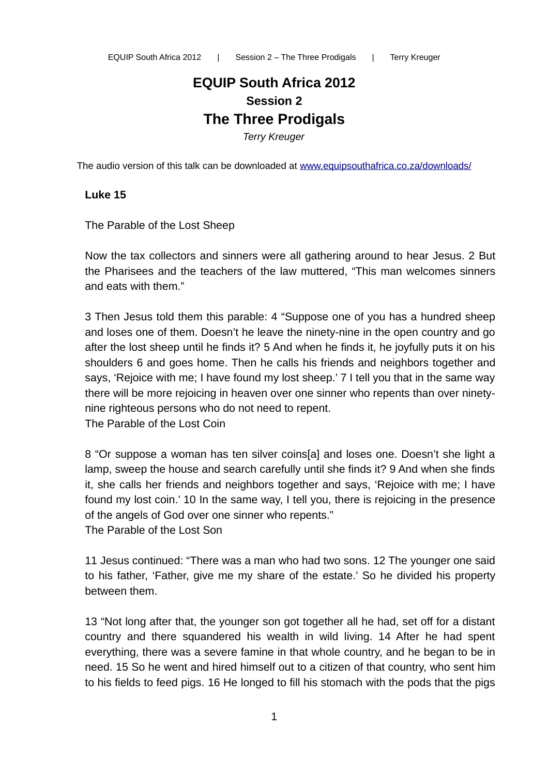# **EQUIP South Africa 2012 Session 2 The Three Prodigals**

*Terry Kreuger*

The audio version of this talk can be downloaded at [www.equipsouthafrica.co.za/downloads/](http://www.equipsouthafrica.co.za/downloads/)

#### **Luke 15**

The Parable of the Lost Sheep

Now the tax collectors and sinners were all gathering around to hear Jesus. 2 But the Pharisees and the teachers of the law muttered, "This man welcomes sinners and eats with them."

3 Then Jesus told them this parable: 4 "Suppose one of you has a hundred sheep and loses one of them. Doesn't he leave the ninety-nine in the open country and go after the lost sheep until he finds it? 5 And when he finds it, he joyfully puts it on his shoulders 6 and goes home. Then he calls his friends and neighbors together and says, 'Rejoice with me; I have found my lost sheep.' 7 I tell you that in the same way there will be more rejoicing in heaven over one sinner who repents than over ninetynine righteous persons who do not need to repent. The Parable of the Lost Coin

8 "Or suppose a woman has ten silver coins[a] and loses one. Doesn't she light a lamp, sweep the house and search carefully until she finds it? 9 And when she finds it, she calls her friends and neighbors together and says, 'Rejoice with me; I have found my lost coin.' 10 In the same way, I tell you, there is rejoicing in the presence of the angels of God over one sinner who repents." The Parable of the Lost Son

11 Jesus continued: "There was a man who had two sons. 12 The younger one said to his father, 'Father, give me my share of the estate.' So he divided his property between them.

13 "Not long after that, the younger son got together all he had, set off for a distant country and there squandered his wealth in wild living. 14 After he had spent everything, there was a severe famine in that whole country, and he began to be in need. 15 So he went and hired himself out to a citizen of that country, who sent him to his fields to feed pigs. 16 He longed to fill his stomach with the pods that the pigs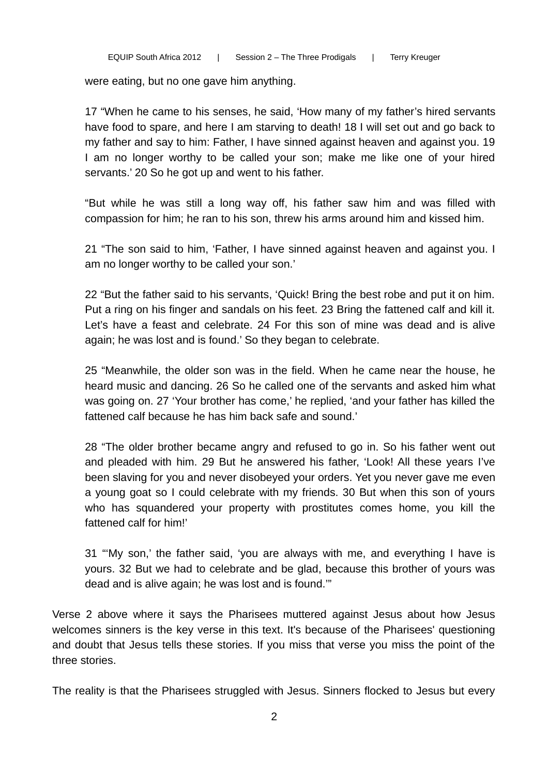were eating, but no one gave him anything.

17 "When he came to his senses, he said, 'How many of my father's hired servants have food to spare, and here I am starving to death! 18 I will set out and go back to my father and say to him: Father, I have sinned against heaven and against you. 19 I am no longer worthy to be called your son; make me like one of your hired servants.' 20 So he got up and went to his father.

"But while he was still a long way off, his father saw him and was filled with compassion for him; he ran to his son, threw his arms around him and kissed him.

21 "The son said to him, 'Father, I have sinned against heaven and against you. I am no longer worthy to be called your son.'

22 "But the father said to his servants, 'Quick! Bring the best robe and put it on him. Put a ring on his finger and sandals on his feet. 23 Bring the fattened calf and kill it. Let's have a feast and celebrate. 24 For this son of mine was dead and is alive again; he was lost and is found.' So they began to celebrate.

25 "Meanwhile, the older son was in the field. When he came near the house, he heard music and dancing. 26 So he called one of the servants and asked him what was going on. 27 'Your brother has come,' he replied, 'and your father has killed the fattened calf because he has him back safe and sound.'

28 "The older brother became angry and refused to go in. So his father went out and pleaded with him. 29 But he answered his father, 'Look! All these years I've been slaving for you and never disobeyed your orders. Yet you never gave me even a young goat so I could celebrate with my friends. 30 But when this son of yours who has squandered your property with prostitutes comes home, you kill the fattened calf for him!'

31 "'My son,' the father said, 'you are always with me, and everything I have is yours. 32 But we had to celebrate and be glad, because this brother of yours was dead and is alive again; he was lost and is found.'"

Verse 2 above where it says the Pharisees muttered against Jesus about how Jesus welcomes sinners is the key verse in this text. It's because of the Pharisees' questioning and doubt that Jesus tells these stories. If you miss that verse you miss the point of the three stories.

The reality is that the Pharisees struggled with Jesus. Sinners flocked to Jesus but every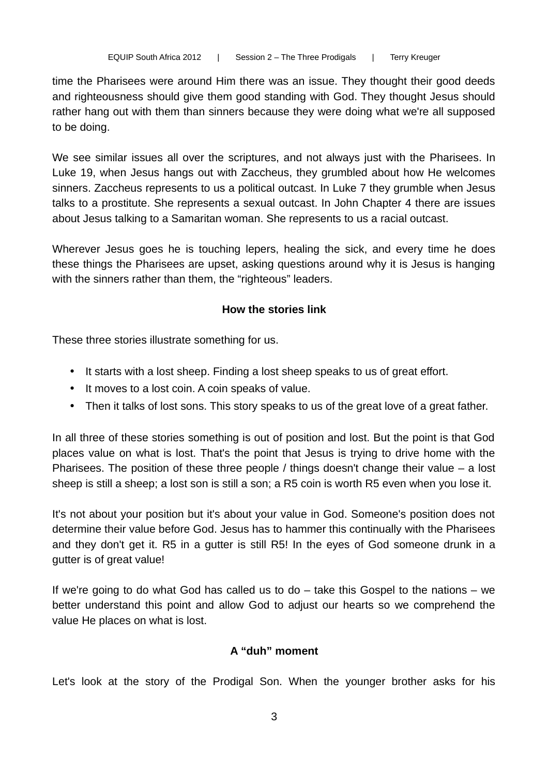time the Pharisees were around Him there was an issue. They thought their good deeds and righteousness should give them good standing with God. They thought Jesus should rather hang out with them than sinners because they were doing what we're all supposed to be doing.

We see similar issues all over the scriptures, and not always just with the Pharisees. In Luke 19, when Jesus hangs out with Zaccheus, they grumbled about how He welcomes sinners. Zaccheus represents to us a political outcast. In Luke 7 they grumble when Jesus talks to a prostitute. She represents a sexual outcast. In John Chapter 4 there are issues about Jesus talking to a Samaritan woman. She represents to us a racial outcast.

Wherever Jesus goes he is touching lepers, healing the sick, and every time he does these things the Pharisees are upset, asking questions around why it is Jesus is hanging with the sinners rather than them, the "righteous" leaders.

### **How the stories link**

These three stories illustrate something for us.

- It starts with a lost sheep. Finding a lost sheep speaks to us of great effort.
- It moves to a lost coin. A coin speaks of value.
- Then it talks of lost sons. This story speaks to us of the great love of a great father.

In all three of these stories something is out of position and lost. But the point is that God places value on what is lost. That's the point that Jesus is trying to drive home with the Pharisees. The position of these three people / things doesn't change their value – a lost sheep is still a sheep; a lost son is still a son; a R5 coin is worth R5 even when you lose it.

It's not about your position but it's about your value in God. Someone's position does not determine their value before God. Jesus has to hammer this continually with the Pharisees and they don't get it. R5 in a gutter is still R5! In the eyes of God someone drunk in a gutter is of great value!

If we're going to do what God has called us to do – take this Gospel to the nations – we better understand this point and allow God to adjust our hearts so we comprehend the value He places on what is lost.

#### **A "duh" moment**

Let's look at the story of the Prodigal Son. When the younger brother asks for his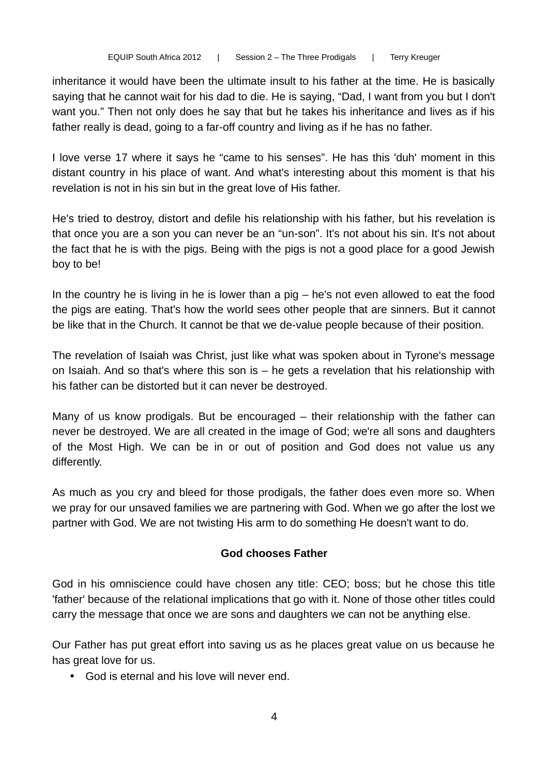inheritance it would have been the ultimate insult to his father at the time. He is basically saying that he cannot wait for his dad to die. He is saying, "Dad, I want from you but I don't want you." Then not only does he say that but he takes his inheritance and lives as if his father really is dead, going to a far-off country and living as if he has no father.

I love verse 17 where it says he "came to his senses". He has this 'duh' moment in this distant country in his place of want. And what's interesting about this moment is that his revelation is not in his sin but in the great love of His father.

He's tried to destroy, distort and defile his relationship with his father, but his revelation is that once you are a son you can never be an "un-son". It's not about his sin. It's not about the fact that he is with the pigs. Being with the pigs is not a good place for a good Jewish boy to be!

In the country he is living in he is lower than a  $pi -$  he's not even allowed to eat the food the pigs are eating. That's how the world sees other people that are sinners. But it cannot be like that in the Church. It cannot be that we de-value people because of their position.

The revelation of Isaiah was Christ, just like what was spoken about in Tyrone's message on Isaiah. And so that's where this son is – he gets a revelation that his relationship with his father can be distorted but it can never be destroyed.

Many of us know prodigals. But be encouraged – their relationship with the father can never be destroyed. We are all created in the image of God; we're all sons and daughters of the Most High. We can be in or out of position and God does not value us any differently.

As much as you cry and bleed for those prodigals, the father does even more so. When we pray for our unsaved families we are partnering with God. When we go after the lost we partner with God. We are not twisting His arm to do something He doesn't want to do.

# **God chooses Father**

God in his omniscience could have chosen any title: CEO; boss; but he chose this title 'father' because of the relational implications that go with it. None of those other titles could carry the message that once we are sons and daughters we can not be anything else.

Our Father has put great effort into saving us as he places great value on us because he has great love for us.

• God is eternal and his love will never end.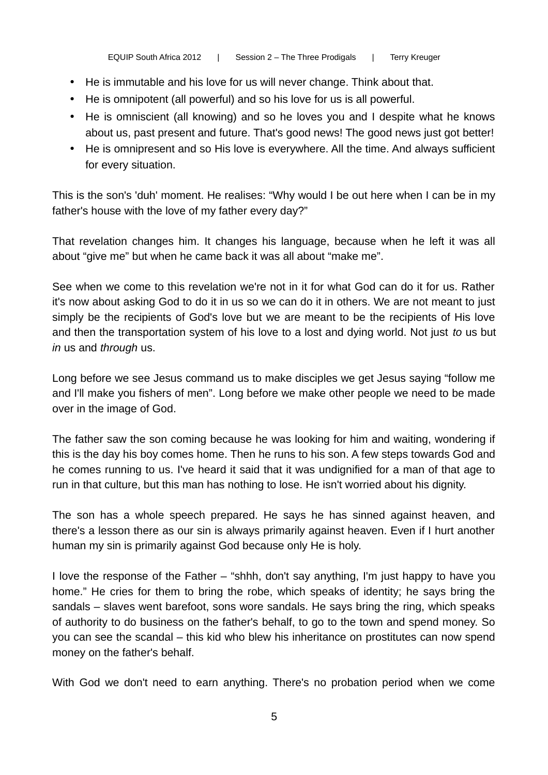- He is immutable and his love for us will never change. Think about that.
- He is omnipotent (all powerful) and so his love for us is all powerful.
- He is omniscient (all knowing) and so he loves you and I despite what he knows about us, past present and future. That's good news! The good news just got better!
- He is omnipresent and so His love is everywhere. All the time. And always sufficient for every situation.

This is the son's 'duh' moment. He realises: "Why would I be out here when I can be in my father's house with the love of my father every day?"

That revelation changes him. It changes his language, because when he left it was all about "give me" but when he came back it was all about "make me".

See when we come to this revelation we're not in it for what God can do it for us. Rather it's now about asking God to do it in us so we can do it in others. We are not meant to just simply be the recipients of God's love but we are meant to be the recipients of His love and then the transportation system of his love to a lost and dying world. Not just *to* us but *in* us and *through* us.

Long before we see Jesus command us to make disciples we get Jesus saying "follow me and I'll make you fishers of men". Long before we make other people we need to be made over in the image of God.

The father saw the son coming because he was looking for him and waiting, wondering if this is the day his boy comes home. Then he runs to his son. A few steps towards God and he comes running to us. I've heard it said that it was undignified for a man of that age to run in that culture, but this man has nothing to lose. He isn't worried about his dignity.

The son has a whole speech prepared. He says he has sinned against heaven, and there's a lesson there as our sin is always primarily against heaven. Even if I hurt another human my sin is primarily against God because only He is holy.

I love the response of the Father – "shhh, don't say anything, I'm just happy to have you home." He cries for them to bring the robe, which speaks of identity; he says bring the sandals – slaves went barefoot, sons wore sandals. He says bring the ring, which speaks of authority to do business on the father's behalf, to go to the town and spend money. So you can see the scandal – this kid who blew his inheritance on prostitutes can now spend money on the father's behalf.

With God we don't need to earn anything. There's no probation period when we come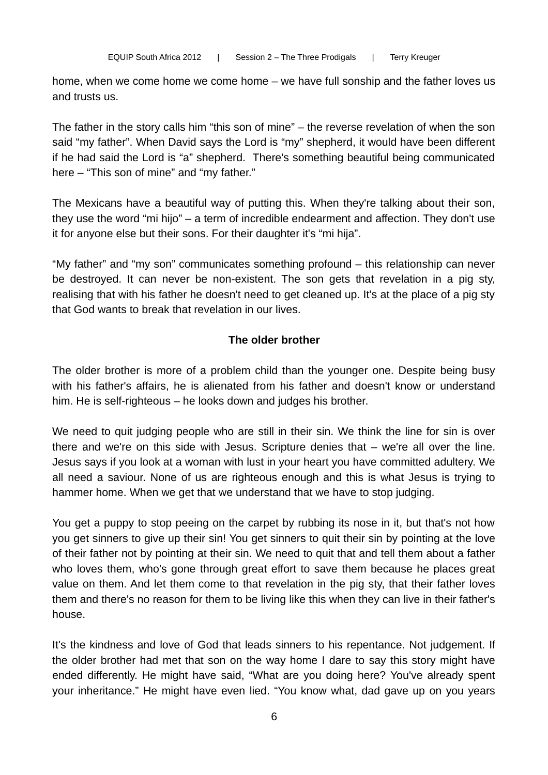home, when we come home we come home – we have full sonship and the father loves us and trusts us.

The father in the story calls him "this son of mine" – the reverse revelation of when the son said "my father". When David says the Lord is "my" shepherd, it would have been different if he had said the Lord is "a" shepherd. There's something beautiful being communicated here – "This son of mine" and "my father."

The Mexicans have a beautiful way of putting this. When they're talking about their son, they use the word "mi hijo" – a term of incredible endearment and affection. They don't use it for anyone else but their sons. For their daughter it's "mi hija".

"My father" and "my son" communicates something profound – this relationship can never be destroyed. It can never be non-existent. The son gets that revelation in a pig sty, realising that with his father he doesn't need to get cleaned up. It's at the place of a pig sty that God wants to break that revelation in our lives.

### **The older brother**

The older brother is more of a problem child than the younger one. Despite being busy with his father's affairs, he is alienated from his father and doesn't know or understand him. He is self-righteous – he looks down and judges his brother.

We need to quit judging people who are still in their sin. We think the line for sin is over there and we're on this side with Jesus. Scripture denies that – we're all over the line. Jesus says if you look at a woman with lust in your heart you have committed adultery. We all need a saviour. None of us are righteous enough and this is what Jesus is trying to hammer home. When we get that we understand that we have to stop judging.

You get a puppy to stop peeing on the carpet by rubbing its nose in it, but that's not how you get sinners to give up their sin! You get sinners to quit their sin by pointing at the love of their father not by pointing at their sin. We need to quit that and tell them about a father who loves them, who's gone through great effort to save them because he places great value on them. And let them come to that revelation in the pig sty, that their father loves them and there's no reason for them to be living like this when they can live in their father's house.

It's the kindness and love of God that leads sinners to his repentance. Not judgement. If the older brother had met that son on the way home I dare to say this story might have ended differently. He might have said, "What are you doing here? You've already spent your inheritance." He might have even lied. "You know what, dad gave up on you years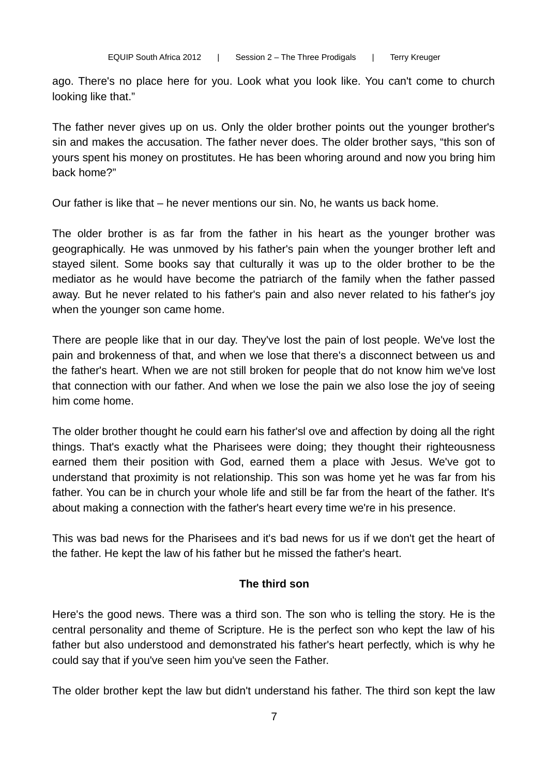ago. There's no place here for you. Look what you look like. You can't come to church looking like that."

The father never gives up on us. Only the older brother points out the younger brother's sin and makes the accusation. The father never does. The older brother says, "this son of yours spent his money on prostitutes. He has been whoring around and now you bring him back home?"

Our father is like that – he never mentions our sin. No, he wants us back home.

The older brother is as far from the father in his heart as the younger brother was geographically. He was unmoved by his father's pain when the younger brother left and stayed silent. Some books say that culturally it was up to the older brother to be the mediator as he would have become the patriarch of the family when the father passed away. But he never related to his father's pain and also never related to his father's joy when the younger son came home.

There are people like that in our day. They've lost the pain of lost people. We've lost the pain and brokenness of that, and when we lose that there's a disconnect between us and the father's heart. When we are not still broken for people that do not know him we've lost that connection with our father. And when we lose the pain we also lose the joy of seeing him come home.

The older brother thought he could earn his father'sl ove and affection by doing all the right things. That's exactly what the Pharisees were doing; they thought their righteousness earned them their position with God, earned them a place with Jesus. We've got to understand that proximity is not relationship. This son was home yet he was far from his father. You can be in church your whole life and still be far from the heart of the father. It's about making a connection with the father's heart every time we're in his presence.

This was bad news for the Pharisees and it's bad news for us if we don't get the heart of the father. He kept the law of his father but he missed the father's heart.

# **The third son**

Here's the good news. There was a third son. The son who is telling the story. He is the central personality and theme of Scripture. He is the perfect son who kept the law of his father but also understood and demonstrated his father's heart perfectly, which is why he could say that if you've seen him you've seen the Father.

The older brother kept the law but didn't understand his father. The third son kept the law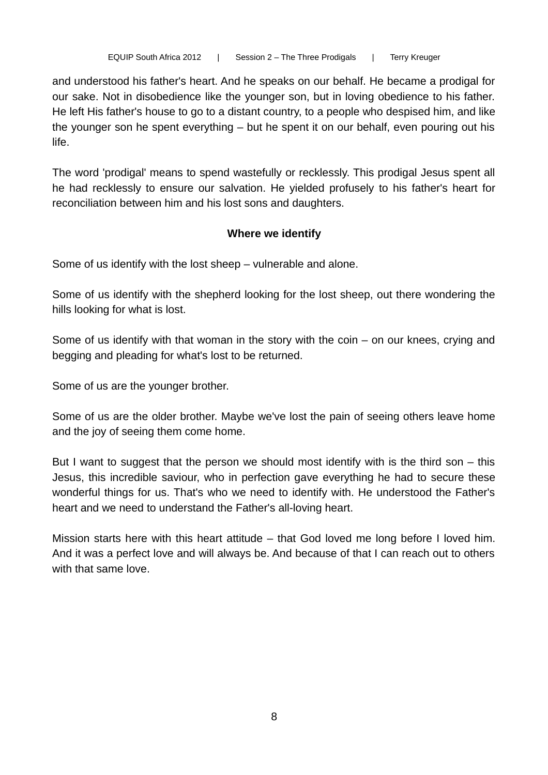and understood his father's heart. And he speaks on our behalf. He became a prodigal for our sake. Not in disobedience like the younger son, but in loving obedience to his father. He left His father's house to go to a distant country, to a people who despised him, and like the younger son he spent everything – but he spent it on our behalf, even pouring out his life.

The word 'prodigal' means to spend wastefully or recklessly. This prodigal Jesus spent all he had recklessly to ensure our salvation. He yielded profusely to his father's heart for reconciliation between him and his lost sons and daughters.

### **Where we identify**

Some of us identify with the lost sheep – vulnerable and alone.

Some of us identify with the shepherd looking for the lost sheep, out there wondering the hills looking for what is lost.

Some of us identify with that woman in the story with the coin – on our knees, crying and begging and pleading for what's lost to be returned.

Some of us are the younger brother.

Some of us are the older brother. Maybe we've lost the pain of seeing others leave home and the joy of seeing them come home.

But I want to suggest that the person we should most identify with is the third son – this Jesus, this incredible saviour, who in perfection gave everything he had to secure these wonderful things for us. That's who we need to identify with. He understood the Father's heart and we need to understand the Father's all-loving heart.

Mission starts here with this heart attitude – that God loved me long before I loved him. And it was a perfect love and will always be. And because of that I can reach out to others with that same love.